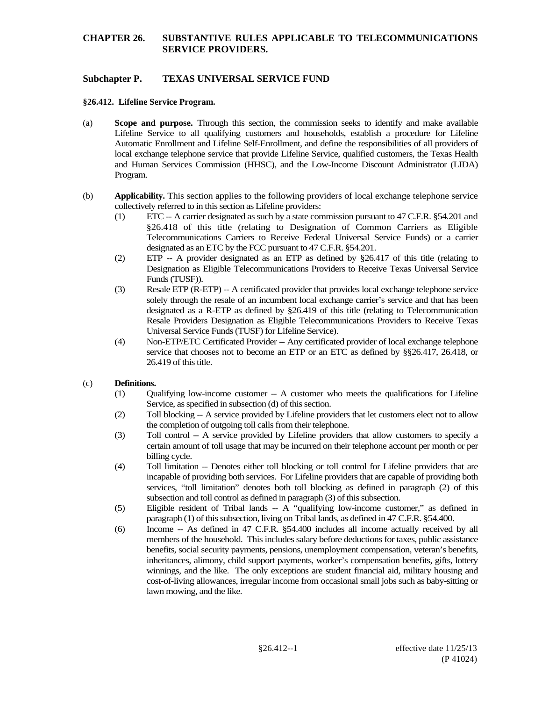# **Subchapter P. TEXAS UNIVERSAL SERVICE FUND**

#### **§26.412. Lifeline Service Program.**

- (a) **Scope and purpose.** Through this section, the commission seeks to identify and make available Lifeline Service to all qualifying customers and households, establish a procedure for Lifeline Automatic Enrollment and Lifeline Self-Enrollment, and define the responsibilities of all providers of local exchange telephone service that provide Lifeline Service, qualified customers, the Texas Health and Human Services Commission (HHSC), and the Low-Income Discount Administrator (LIDA) Program.
- (b) **Applicability.** This section applies to the following providers of local exchange telephone service collectively referred to in this section as Lifeline providers:
	- (1) ETC -- A carrier designated as such by a state commission pursuant to 47 C.F.R. §54.201 and §26.418 of this title (relating to Designation of Common Carriers as Eligible Telecommunications Carriers to Receive Federal Universal Service Funds) or a carrier designated as an ETC by the FCC pursuant to 47 C.F.R. §54.201.
	- (2) ETP -- A provider designated as an ETP as defined by §26.417 of this title (relating to Designation as Eligible Telecommunications Providers to Receive Texas Universal Service Funds (TUSF)).
	- (3) Resale ETP (R-ETP) -- A certificated provider that provides local exchange telephone service solely through the resale of an incumbent local exchange carrier's service and that has been designated as a R-ETP as defined by §26.419 of this title (relating to Telecommunication Resale Providers Designation as Eligible Telecommunications Providers to Receive Texas Universal Service Funds (TUSF) for Lifeline Service).
	- (4) Non-ETP/ETC Certificated Provider -- Any certificated provider of local exchange telephone service that chooses not to become an ETP or an ETC as defined by §§26.417, 26.418, or 26.419 of this title.

#### (c) **Definitions.**

- (1) Qualifying low-income customer -- A customer who meets the qualifications for Lifeline Service, as specified in subsection (d) of this section.
- (2) Toll blocking -- A service provided by Lifeline providers that let customers elect not to allow the completion of outgoing toll calls from their telephone.
- (3) Toll control -- A service provided by Lifeline providers that allow customers to specify a certain amount of toll usage that may be incurred on their telephone account per month or per billing cycle.
- (4) Toll limitation -- Denotes either toll blocking or toll control for Lifeline providers that are incapable of providing both services. For Lifeline providers that are capable of providing both services, "toll limitation" denotes both toll blocking as defined in paragraph (2) of this subsection and toll control as defined in paragraph (3) of this subsection.
- (5) Eligible resident of Tribal lands -- A "qualifying low-income customer," as defined in paragraph (1) of this subsection, living on Tribal lands, as defined in 47 C.F.R. §54.400.
- (6) Income -- As defined in 47 C.F.R. §54.400 includes all income actually received by all members of the household. This includes salary before deductions for taxes, public assistance benefits, social security payments, pensions, unemployment compensation, veteran's benefits, inheritances, alimony, child support payments, worker's compensation benefits, gifts, lottery winnings, and the like. The only exceptions are student financial aid, military housing and cost-of-living allowances, irregular income from occasional small jobs such as baby-sitting or lawn mowing, and the like.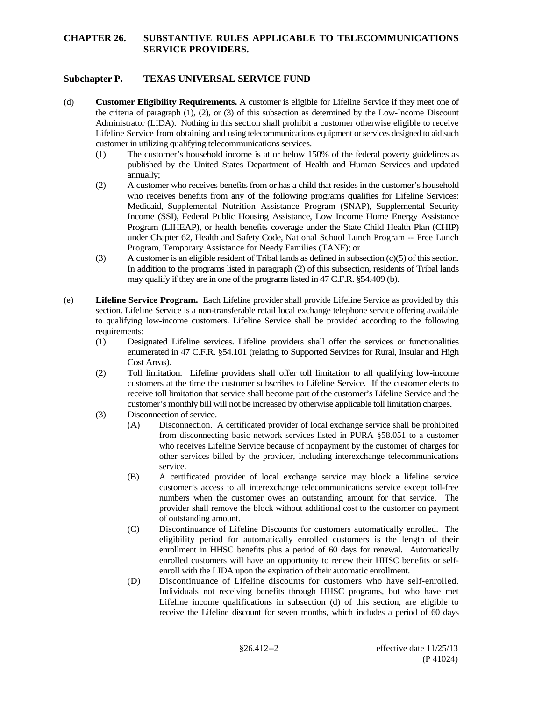# **Subchapter P. TEXAS UNIVERSAL SERVICE FUND**

- (d) **Customer Eligibility Requirements.** A customer is eligible for Lifeline Service if they meet one of the criteria of paragraph (1), (2), or (3) of this subsection as determined by the Low-Income Discount Administrator (LIDA). Nothing in this section shall prohibit a customer otherwise eligible to receive Lifeline Service from obtaining and using telecommunications equipment or services designed to aid such customer in utilizing qualifying telecommunications services.
	- (1) The customer's household income is at or below 150% of the federal poverty guidelines as published by the United States Department of Health and Human Services and updated annually;
	- (2) A customer who receives benefits from or has a child that resides in the customer's household who receives benefits from any of the following programs qualifies for Lifeline Services: Medicaid, Supplemental Nutrition Assistance Program (SNAP), Supplemental Security Income (SSI), Federal Public Housing Assistance, Low Income Home Energy Assistance Program (LIHEAP), or health benefits coverage under the State Child Health Plan (CHIP) under Chapter 62, Health and Safety Code, National School Lunch Program -- Free Lunch Program, Temporary Assistance for Needy Families (TANF); or
	- (3) A customer is an eligible resident of Tribal lands as defined in subsection (c)(5) of this section. In addition to the programs listed in paragraph (2) of this subsection, residents of Tribal lands may qualify if they are in one of the programs listed in 47 C.F.R. §54.409 (b).
- (e) **Lifeline Service Program.** Each Lifeline provider shall provide Lifeline Service as provided by this section. Lifeline Service is a non-transferable retail local exchange telephone service offering available to qualifying low-income customers. Lifeline Service shall be provided according to the following requirements:
	- (1) Designated Lifeline services. Lifeline providers shall offer the services or functionalities enumerated in 47 C.F.R. §54.101 (relating to Supported Services for Rural, Insular and High Cost Areas).
	- (2) Toll limitation. Lifeline providers shall offer toll limitation to all qualifying low-income customers at the time the customer subscribes to Lifeline Service. If the customer elects to receive toll limitation that service shall become part of the customer's Lifeline Service and the customer's monthly bill will not be increased by otherwise applicable toll limitation charges.
	- (3) Disconnection of service.
		- (A) Disconnection. A certificated provider of local exchange service shall be prohibited from disconnecting basic network services listed in PURA §58.051 to a customer who receives Lifeline Service because of nonpayment by the customer of charges for other services billed by the provider, including interexchange telecommunications service.
		- (B) A certificated provider of local exchange service may block a lifeline service customer's access to all interexchange telecommunications service except toll-free numbers when the customer owes an outstanding amount for that service. The provider shall remove the block without additional cost to the customer on payment of outstanding amount.
		- (C) Discontinuance of Lifeline Discounts for customers automatically enrolled. The eligibility period for automatically enrolled customers is the length of their enrollment in HHSC benefits plus a period of 60 days for renewal. Automatically enrolled customers will have an opportunity to renew their HHSC benefits or selfenroll with the LIDA upon the expiration of their automatic enrollment.
		- (D) Discontinuance of Lifeline discounts for customers who have self-enrolled. Individuals not receiving benefits through HHSC programs, but who have met Lifeline income qualifications in subsection (d) of this section, are eligible to receive the Lifeline discount for seven months, which includes a period of 60 days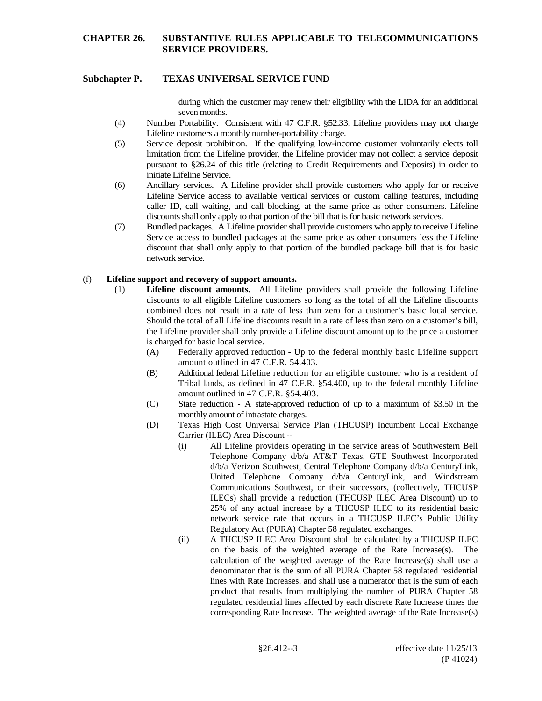### **Subchapter P. TEXAS UNIVERSAL SERVICE FUND**

during which the customer may renew their eligibility with the LIDA for an additional seven months.

- (4) Number Portability. Consistent with 47 C.F.R. §52.33, Lifeline providers may not charge Lifeline customers a monthly number-portability charge.
- (5) Service deposit prohibition. If the qualifying low-income customer voluntarily elects toll limitation from the Lifeline provider, the Lifeline provider may not collect a service deposit pursuant to §26.24 of this title (relating to Credit Requirements and Deposits) in order to initiate Lifeline Service.
- (6) Ancillary services. A Lifeline provider shall provide customers who apply for or receive Lifeline Service access to available vertical services or custom calling features, including caller ID, call waiting, and call blocking, at the same price as other consumers. Lifeline discounts shall only apply to that portion of the bill that is for basic network services.
- (7) Bundled packages. A Lifeline provider shall provide customers who apply to receive Lifeline Service access to bundled packages at the same price as other consumers less the Lifeline discount that shall only apply to that portion of the bundled package bill that is for basic network service.

### (f) **Lifeline support and recovery of support amounts.**

- (1) **Lifeline discount amounts.** All Lifeline providers shall provide the following Lifeline discounts to all eligible Lifeline customers so long as the total of all the Lifeline discounts combined does not result in a rate of less than zero for a customer's basic local service. Should the total of all Lifeline discounts result in a rate of less than zero on a customer's bill, the Lifeline provider shall only provide a Lifeline discount amount up to the price a customer is charged for basic local service.
	- (A) Federally approved reduction Up to the federal monthly basic Lifeline support amount outlined in 47 C.F.R. 54.403.
	- (B) Additional federal Lifeline reduction for an eligible customer who is a resident of Tribal lands, as defined in 47 C.F.R. §54.400, up to the federal monthly Lifeline amount outlined in 47 C.F.R. §54.403.
	- (C) State reduction A state-approved reduction of up to a maximum of \$3.50 in the monthly amount of intrastate charges.
	- (D) Texas High Cost Universal Service Plan (THCUSP) Incumbent Local Exchange Carrier (ILEC) Area Discount --
		- (i) All Lifeline providers operating in the service areas of Southwestern Bell Telephone Company d/b/a AT&T Texas, GTE Southwest Incorporated d/b/a Verizon Southwest, Central Telephone Company d/b/a CenturyLink, United Telephone Company d/b/a CenturyLink, and Windstream Communications Southwest, or their successors, (collectively, THCUSP ILECs) shall provide a reduction (THCUSP ILEC Area Discount) up to 25% of any actual increase by a THCUSP ILEC to its residential basic network service rate that occurs in a THCUSP ILEC's Public Utility Regulatory Act (PURA) Chapter 58 regulated exchanges*.*
		- (ii) A THCUSP ILEC Area Discount shall be calculated by a THCUSP ILEC on the basis of the weighted average of the Rate Increase(s). The calculation of the weighted average of the Rate Increase(s) shall use a denominator that is the sum of all PURA Chapter 58 regulated residential lines with Rate Increases, and shall use a numerator that is the sum of each product that results from multiplying the number of PURA Chapter 58 regulated residential lines affected by each discrete Rate Increase times the corresponding Rate Increase. The weighted average of the Rate Increase(s)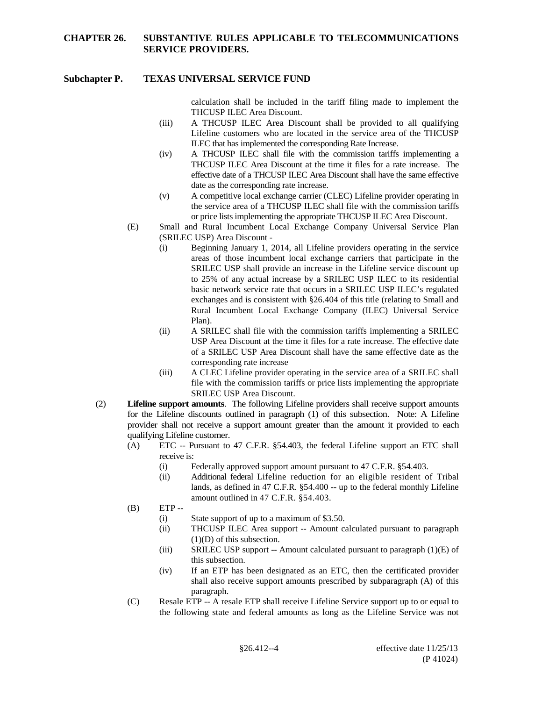### **Subchapter P. TEXAS UNIVERSAL SERVICE FUND**

calculation shall be included in the tariff filing made to implement the THCUSP ILEC Area Discount.

- (iii) A THCUSP ILEC Area Discount shall be provided to all qualifying Lifeline customers who are located in the service area of the THCUSP ILEC that has implemented the corresponding Rate Increase.
- (iv) A THCUSP ILEC shall file with the commission tariffs implementing a THCUSP ILEC Area Discount at the time it files for a rate increase. The effective date of a THCUSP ILEC Area Discount shall have the same effective date as the corresponding rate increase.
- (v) A competitive local exchange carrier (CLEC) Lifeline provider operating in the service area of a THCUSP ILEC shall file with the commission tariffs or price lists implementing the appropriate THCUSP ILEC Area Discount.
- (E) Small and Rural Incumbent Local Exchange Company Universal Service Plan (SRILEC USP) Area Discount -
	- (i) Beginning January 1, 2014, all Lifeline providers operating in the service areas of those incumbent local exchange carriers that participate in the SRILEC USP shall provide an increase in the Lifeline service discount up to 25% of any actual increase by a SRILEC USP ILEC to its residential basic network service rate that occurs in a SRILEC USP ILEC's regulated exchanges and is consistent with §26.404 of this title (relating to Small and Rural Incumbent Local Exchange Company (ILEC) Universal Service Plan).
	- (ii) A SRILEC shall file with the commission tariffs implementing a SRILEC USP Area Discount at the time it files for a rate increase. The effective date of a SRILEC USP Area Discount shall have the same effective date as the corresponding rate increase
	- (iii) A CLEC Lifeline provider operating in the service area of a SRILEC shall file with the commission tariffs or price lists implementing the appropriate SRILEC USP Area Discount.
- (2) **Lifeline support amounts**. The following Lifeline providers shall receive support amounts for the Lifeline discounts outlined in paragraph (1) of this subsection. Note: A Lifeline provider shall not receive a support amount greater than the amount it provided to each qualifying Lifeline customer.
	- (A) ETC -- Pursuant to 47 C.F.R. §54.403, the federal Lifeline support an ETC shall receive is:
		- (i) Federally approved support amount pursuant to 47 C.F.R. §54.403.
		- (ii) Additional federal Lifeline reduction for an eligible resident of Tribal lands, as defined in 47 C.F.R. §54.400 -- up to the federal monthly Lifeline amount outlined in 47 C.F.R. §54.403.
	- $(B)$  ETP --
		- (i) State support of up to a maximum of \$3.50.
		- (ii) THCUSP ILEC Area support -- Amount calculated pursuant to paragraph (1)(D) of this subsection.
		- (iii) SRILEC USP support -- Amount calculated pursuant to paragraph  $(1)(E)$  of this subsection.
		- (iv) If an ETP has been designated as an ETC, then the certificated provider shall also receive support amounts prescribed by subparagraph (A) of this paragraph.
	- (C) Resale ETP -- A resale ETP shall receive Lifeline Service support up to or equal to the following state and federal amounts as long as the Lifeline Service was not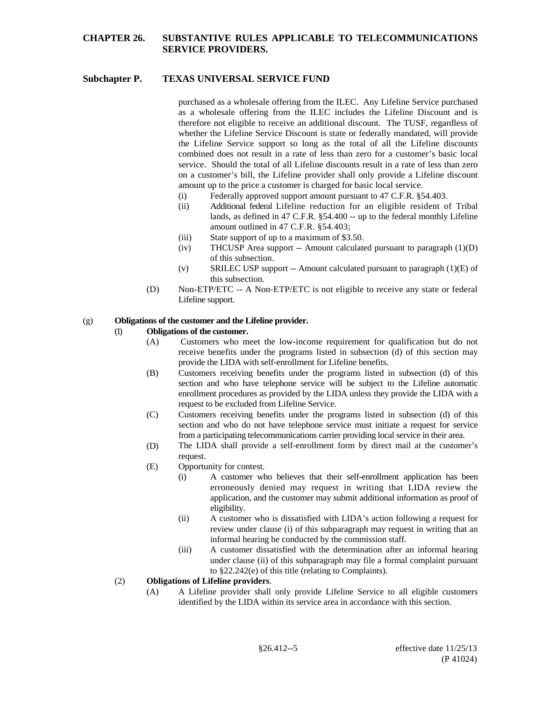### **Subchapter P. TEXAS UNIVERSAL SERVICE FUND**

purchased as a wholesale offering from the ILEC. Any Lifeline Service purchased as a wholesale offering from the ILEC includes the Lifeline Discount and is therefore not eligible to receive an additional discount. The TUSF, regardless of whether the Lifeline Service Discount is state or federally mandated, will provide the Lifeline Service support so long as the total of all the Lifeline discounts combined does not result in a rate of less than zero for a customer's basic local service. Should the total of all Lifeline discounts result in a rate of less than zero on a customer's bill, the Lifeline provider shall only provide a Lifeline discount amount up to the price a customer is charged for basic local service.

- (i) Federally approved support amount pursuant to 47 C.F.R. §54.403.
- (ii) Additional federal Lifeline reduction for an eligible resident of Tribal lands, as defined in 47 C.F.R. §54.400 -- up to the federal monthly Lifeline amount outlined in 47 C.F.R. §54.403;
- (iii) State support of up to a maximum of \$3.50.
- (iv) THCUSP Area support -- Amount calculated pursuant to paragraph  $(1)(D)$ of this subsection.
- (v) SRILEC USP support -- Amount calculated pursuant to paragraph  $(1)(E)$  of this subsection.
- (D) Non-ETP/ETC -- A Non-ETP/ETC is not eligible to receive any state or federal Lifeline support.

# (g) **Obligations of the customer and the Lifeline provider.**

### (1) **Obligations of the customer.**

- (A) Customers who meet the low-income requirement for qualification but do not receive benefits under the programs listed in subsection (d) of this section may provide the LIDA with self-enrollment for Lifeline benefits.
- (B) Customers receiving benefits under the programs listed in subsection (d) of this section and who have telephone service will be subject to the Lifeline automatic enrollment procedures as provided by the LIDA unless they provide the LIDA with a request to be excluded from Lifeline Service.
- (C) Customers receiving benefits under the programs listed in subsection (d) of this section and who do not have telephone service must initiate a request for service from a participating telecommunications carrier providing local service in their area.
- (D) The LIDA shall provide a self-enrollment form by direct mail at the customer's request.
- (E) Opportunity for contest.
	- (i) A customer who believes that their self-enrollment application has been erroneously denied may request in writing that LIDA review the application, and the customer may submit additional information as proof of eligibility.
	- (ii) A customer who is dissatisfied with LIDA's action following a request for review under clause (i) of this subparagraph may request in writing that an informal hearing be conducted by the commission staff.
	- (iii) A customer dissatisfied with the determination after an informal hearing under clause (ii) of this subparagraph may file a formal complaint pursuant to §22.242(e) of this title (relating to Complaints).

#### (2) **Obligations of Lifeline providers**.

(A) A Lifeline provider shall only provide Lifeline Service to all eligible customers identified by the LIDA within its service area in accordance with this section.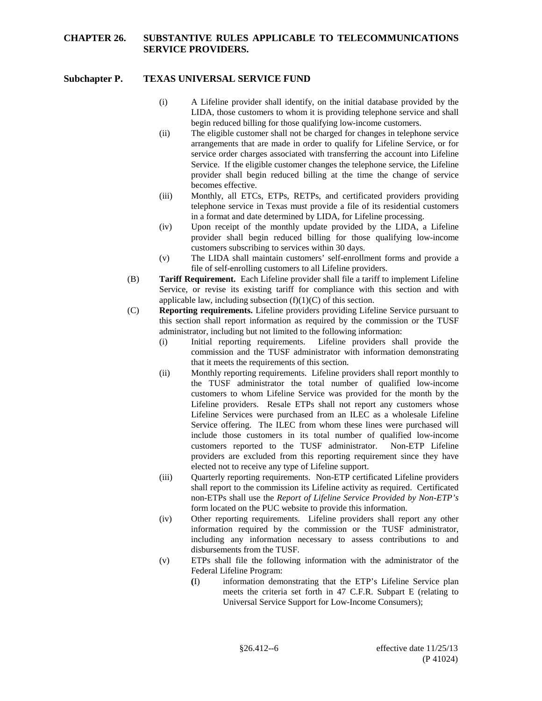### **Subchapter P. TEXAS UNIVERSAL SERVICE FUND**

- (i) A Lifeline provider shall identify, on the initial database provided by the LIDA, those customers to whom it is providing telephone service and shall begin reduced billing for those qualifying low-income customers.
- (ii) The eligible customer shall not be charged for changes in telephone service arrangements that are made in order to qualify for Lifeline Service, or for service order charges associated with transferring the account into Lifeline Service. If the eligible customer changes the telephone service, the Lifeline provider shall begin reduced billing at the time the change of service becomes effective.
- (iii) Monthly, all ETCs, ETPs, RETPs, and certificated providers providing telephone service in Texas must provide a file of its residential customers in a format and date determined by LIDA, for Lifeline processing.
- (iv) Upon receipt of the monthly update provided by the LIDA, a Lifeline provider shall begin reduced billing for those qualifying low-income customers subscribing to services within 30 days.
- (v) The LIDA shall maintain customers' self-enrollment forms and provide a file of self-enrolling customers to all Lifeline providers.
- (B) **Tariff Requirement.** Each Lifeline provider shall file a tariff to implement Lifeline Service, or revise its existing tariff for compliance with this section and with applicable law, including subsection  $(f)(1)(C)$  of this section.
- (C) **Reporting requirements.** Lifeline providers providing Lifeline Service pursuant to this section shall report information as required by the commission or the TUSF administrator, including but not limited to the following information:
	- (i) Initial reporting requirements. Lifeline providers shall provide the commission and the TUSF administrator with information demonstrating that it meets the requirements of this section.
	- (ii) Monthly reporting requirements. Lifeline providers shall report monthly to the TUSF administrator the total number of qualified low-income customers to whom Lifeline Service was provided for the month by the Lifeline providers. Resale ETPs shall not report any customers whose Lifeline Services were purchased from an ILEC as a wholesale Lifeline Service offering. The ILEC from whom these lines were purchased will include those customers in its total number of qualified low-income customers reported to the TUSF administrator. Non-ETP Lifeline providers are excluded from this reporting requirement since they have elected not to receive any type of Lifeline support.
	- (iii) Quarterly reporting requirements. Non-ETP certificated Lifeline providers shall report to the commission its Lifeline activity as required. Certificated non-ETPs shall use the *Report of Lifeline Service Provided by Non-ETP's* form located on the PUC website to provide this information.
	- (iv) Other reporting requirements. Lifeline providers shall report any other information required by the commission or the TUSF administrator, including any information necessary to assess contributions to and disbursements from the TUSF.
	- (v) ETPs shall file the following information with the administrator of the Federal Lifeline Program:
		- **(**I) information demonstrating that the ETP's Lifeline Service plan meets the criteria set forth in 47 C.F.R. Subpart E (relating to Universal Service Support for Low-Income Consumers);